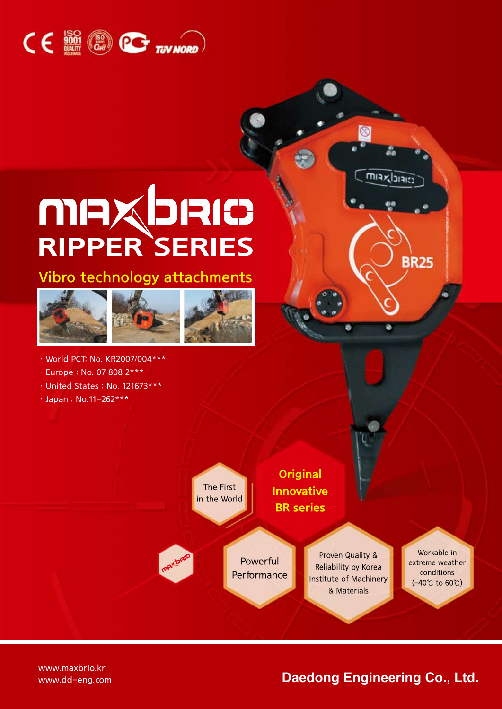

# RIPPER SERIES

Vibro technology attachments







- ㆍEurope : No. 07 808 2\*\*\*
- ㆍUnited States : No. 121673\*\*\*
- ㆍJapan : No.11-262\*\*\*

The First in the World

**Original** Innovative BR series

Powerful **Performance** 

Proven Quality & Reliability by Korea Institute of Machinery & Materials

Workable in extreme weather conditions (-40℃ to 60℃)

www.maxbrio.kr

#### www.dd-eng.com **Daedong Engineering Co., Ltd.**

 $\sqrt{\frac{1}{2}}$ 

**BR25**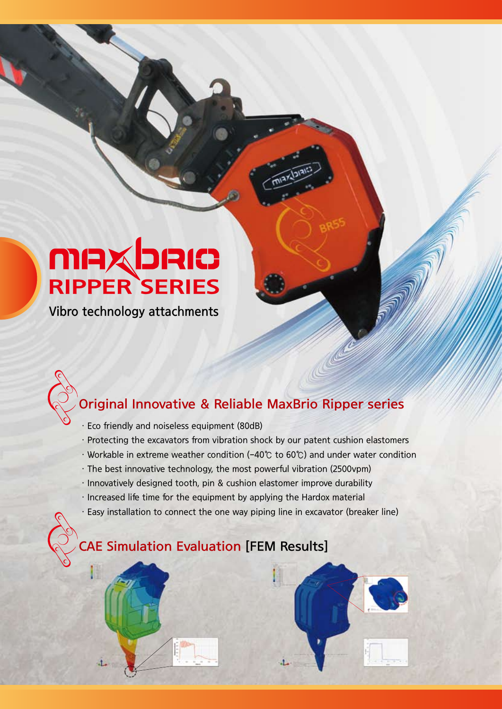# **MAXDRIC**<br>RIPPER SERIES

Vibro technology attachments

### Original Innovative & Reliable MaxBrio Ripper series

- ㆍEco friendly and noiseless equipment (80dB)
- ㆍProtecting the excavators from vibration shock by our patent cushion elastomers
- ㆍWorkable in extreme weather condition (-40℃ to 60℃) and under water condition
- ㆍThe best innovative technology, the most powerful vibration (2500vpm)
- ㆍInnovatively designed tooth, pin & cushion elastomer improve durability
- ㆍIncreased life time for the equipment by applying the Hardox material
- ㆍEasy installation to connect the one way piping line in excavator (breaker line)

a.

### CAE Simulation Evaluation [FEM Results]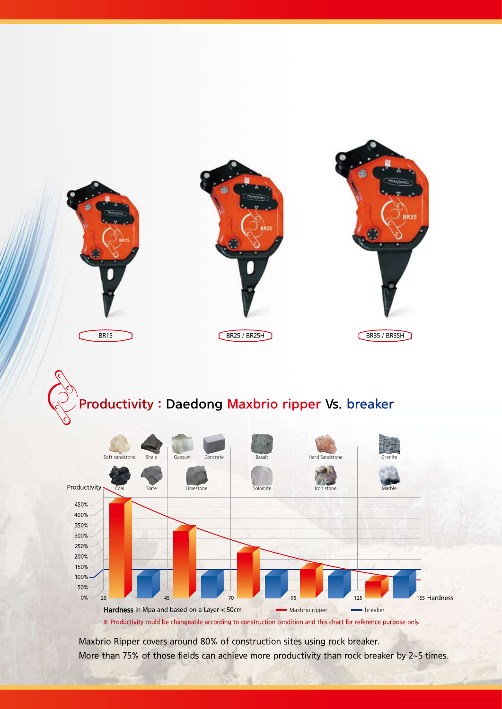

## Productivity : Daedong Maxbrio ripper Vs. breaker



Maxbrio Ripper covers around 80% of construction sites using rock breaker. More than 75% of those fields can achieve more productivity than rock breaker by 2~5 times.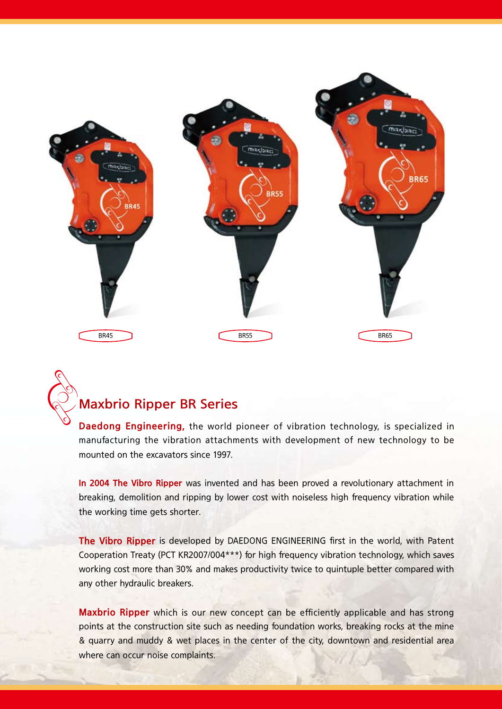

#### Maxbrio Ripper BR Series

Daedong Engineering, the world pioneer of vibration technology, is specialized in manufacturing the vibration attachments with development of new technology to be mounted on the excavators since 1997.

In 2004 The Vibro Ripper was invented and has been proved a revolutionary attachment in breaking, demolition and ripping by lower cost with noiseless high frequency vibration while the working time gets shorter.

The Vibro Ripper is developed by DAEDONG ENGINEERING first in the world, with Patent Cooperation Treaty (PCT KR2007/004\*\*\*) for high frequency vibration technology, which saves working cost more than 30% and makes productivity twice to quintuple better compared with any other hydraulic breakers.

Maxbrio Ripper which is our new concept can be efficiently applicable and has strong points at the construction site such as needing foundation works, breaking rocks at the mine & quarry and muddy & wet places in the center of the city, downtown and residential area where can occur noise complaints.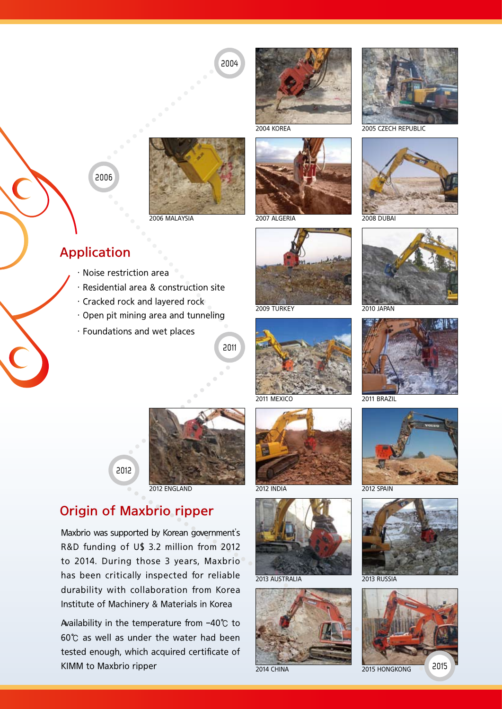2004

2004 KOREA 2005 CZECH REPUBLIC







2009 TURKEY 2010 JAPAN





2011 MEXICO 2011 BRAZIL











2006



2006 MALAYSIA

#### Application

- ㆍNoise restriction area
- ㆍResidential area & construction site
- ㆍCracked rock and layered rock
- ㆍOpen pit mining area and tunneling
- ㆍFoundations and wet places

2011



2012 ENGLAND

#### Origin of Maxbrio ripper

2012

Maxbrio was supported by Korean government's R&D funding of U\$ 3.2 million from 2012 to 2014. During those 3 years, Maxbrio has been critically inspected for reliable durability with collaboration from Korea Institute of Machinery & Materials in Korea

Availability in the temperature from -40℃ to 60℃ as well as under the water had been tested enough, which acquired certificate of KIMM to Maxbrio ripper